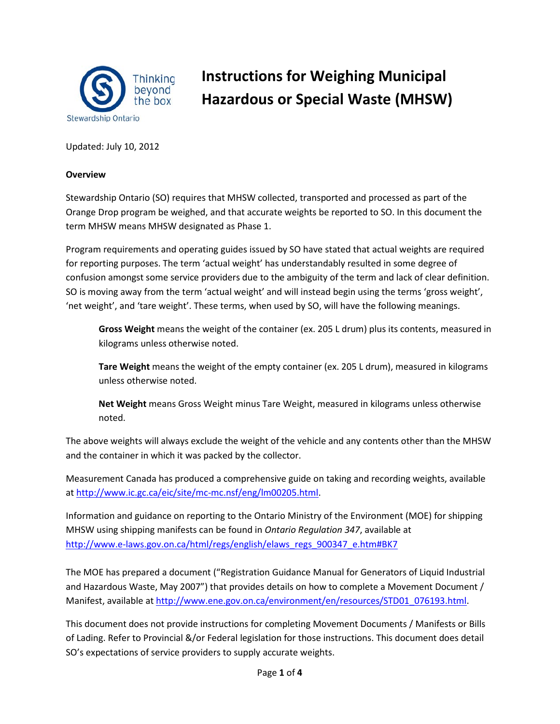

# **Instructions for Weighing Municipal Hazardous or Special Waste (MHSW)**

Updated: July 10, 2012

#### **Overview**

Stewardship Ontario (SO) requires that MHSW collected, transported and processed as part of the Orange Drop program be weighed, and that accurate weights be reported to SO. In this document the term MHSW means MHSW designated as Phase 1.

Program requirements and operating guides issued by SO have stated that actual weights are required for reporting purposes. The term 'actual weight' has understandably resulted in some degree of confusion amongst some service providers due to the ambiguity of the term and lack of clear definition. SO is moving away from the term 'actual weight' and will instead begin using the terms 'gross weight', 'net weight', and 'tare weight'. These terms, when used by SO, will have the following meanings.

**Gross Weight** means the weight of the container (ex. 205 L drum) plus its contents, measured in kilograms unless otherwise noted.

**Tare Weight** means the weight of the empty container (ex. 205 L drum), measured in kilograms unless otherwise noted.

**Net Weight** means Gross Weight minus Tare Weight, measured in kilograms unless otherwise noted.

The above weights will always exclude the weight of the vehicle and any contents other than the MHSW and the container in which it was packed by the collector.

Measurement Canada has produced a comprehensive guide on taking and recording weights, available at [http://www.ic.gc.ca/eic/site/mc-mc.nsf/eng/lm00205.html.](http://www.ic.gc.ca/eic/site/mc-mc.nsf/eng/lm00205.html)

Information and guidance on reporting to the Ontario Ministry of the Environment (MOE) for shipping MHSW using shipping manifests can be found in *Ontario Regulation 347*, available at [http://www.e-laws.gov.on.ca/html/regs/english/elaws\\_regs\\_900347\\_e.htm#BK7](http://www.e-laws.gov.on.ca/html/regs/english/elaws_regs_900347_e.htm#BK7)

The MOE has prepared a document ("Registration Guidance Manual for Generators of Liquid Industrial and Hazardous Waste, May 2007") that provides details on how to complete a Movement Document / Manifest, available a[t http://www.ene.gov.on.ca/environment/en/resources/STD01\\_076193.html.](http://www.ene.gov.on.ca/environment/en/resources/STD01_076193.html)

This document does not provide instructions for completing Movement Documents / Manifests or Bills of Lading. Refer to Provincial &/or Federal legislation for those instructions. This document does detail SO's expectations of service providers to supply accurate weights.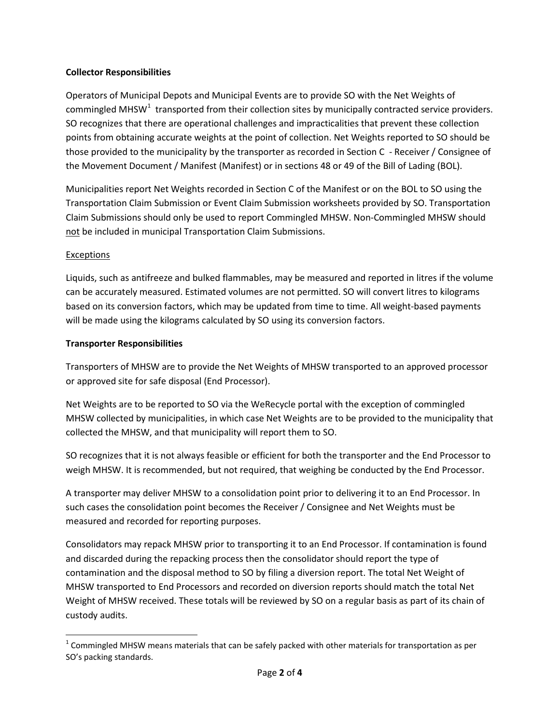## **Collector Responsibilities**

Operators of Municipal Depots and Municipal Events are to provide SO with the Net Weights of commingled MHSW<sup>[1](#page-1-0)</sup> transported from their collection sites by municipally contracted service providers. SO recognizes that there are operational challenges and impracticalities that prevent these collection points from obtaining accurate weights at the point of collection. Net Weights reported to SO should be those provided to the municipality by the transporter as recorded in Section C - Receiver / Consignee of the Movement Document / Manifest (Manifest) or in sections 48 or 49 of the Bill of Lading (BOL).

Municipalities report Net Weights recorded in Section C of the Manifest or on the BOL to SO using the Transportation Claim Submission or Event Claim Submission worksheets provided by SO. Transportation Claim Submissions should only be used to report Commingled MHSW. Non-Commingled MHSW should not be included in municipal Transportation Claim Submissions.

# Exceptions

Liquids, such as antifreeze and bulked flammables, may be measured and reported in litres if the volume can be accurately measured. Estimated volumes are not permitted. SO will convert litres to kilograms based on its conversion factors, which may be updated from time to time. All weight-based payments will be made using the kilograms calculated by SO using its conversion factors.

#### **Transporter Responsibilities**

Transporters of MHSW are to provide the Net Weights of MHSW transported to an approved processor or approved site for safe disposal (End Processor).

Net Weights are to be reported to SO via the WeRecycle portal with the exception of commingled MHSW collected by municipalities, in which case Net Weights are to be provided to the municipality that collected the MHSW, and that municipality will report them to SO.

SO recognizes that it is not always feasible or efficient for both the transporter and the End Processor to weigh MHSW. It is recommended, but not required, that weighing be conducted by the End Processor.

A transporter may deliver MHSW to a consolidation point prior to delivering it to an End Processor. In such cases the consolidation point becomes the Receiver / Consignee and Net Weights must be measured and recorded for reporting purposes.

Consolidators may repack MHSW prior to transporting it to an End Processor. If contamination is found and discarded during the repacking process then the consolidator should report the type of contamination and the disposal method to SO by filing a diversion report. The total Net Weight of MHSW transported to End Processors and recorded on diversion reports should match the total Net Weight of MHSW received. These totals will be reviewed by SO on a regular basis as part of its chain of custody audits.

<span id="page-1-0"></span> $1$  Commingled MHSW means materials that can be safely packed with other materials for transportation as per SO's packing standards.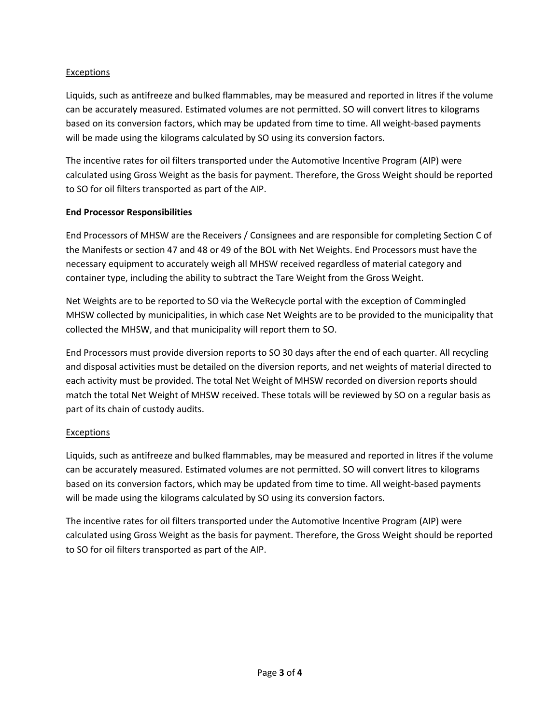# **Exceptions**

Liquids, such as antifreeze and bulked flammables, may be measured and reported in litres if the volume can be accurately measured. Estimated volumes are not permitted. SO will convert litres to kilograms based on its conversion factors, which may be updated from time to time. All weight-based payments will be made using the kilograms calculated by SO using its conversion factors.

The incentive rates for oil filters transported under the Automotive Incentive Program (AIP) were calculated using Gross Weight as the basis for payment. Therefore, the Gross Weight should be reported to SO for oil filters transported as part of the AIP.

# **End Processor Responsibilities**

End Processors of MHSW are the Receivers / Consignees and are responsible for completing Section C of the Manifests or section 47 and 48 or 49 of the BOL with Net Weights. End Processors must have the necessary equipment to accurately weigh all MHSW received regardless of material category and container type, including the ability to subtract the Tare Weight from the Gross Weight.

Net Weights are to be reported to SO via the WeRecycle portal with the exception of Commingled MHSW collected by municipalities, in which case Net Weights are to be provided to the municipality that collected the MHSW, and that municipality will report them to SO.

End Processors must provide diversion reports to SO 30 days after the end of each quarter. All recycling and disposal activities must be detailed on the diversion reports, and net weights of material directed to each activity must be provided. The total Net Weight of MHSW recorded on diversion reports should match the total Net Weight of MHSW received. These totals will be reviewed by SO on a regular basis as part of its chain of custody audits.

# **Exceptions**

Liquids, such as antifreeze and bulked flammables, may be measured and reported in litres if the volume can be accurately measured. Estimated volumes are not permitted. SO will convert litres to kilograms based on its conversion factors, which may be updated from time to time. All weight-based payments will be made using the kilograms calculated by SO using its conversion factors.

The incentive rates for oil filters transported under the Automotive Incentive Program (AIP) were calculated using Gross Weight as the basis for payment. Therefore, the Gross Weight should be reported to SO for oil filters transported as part of the AIP.